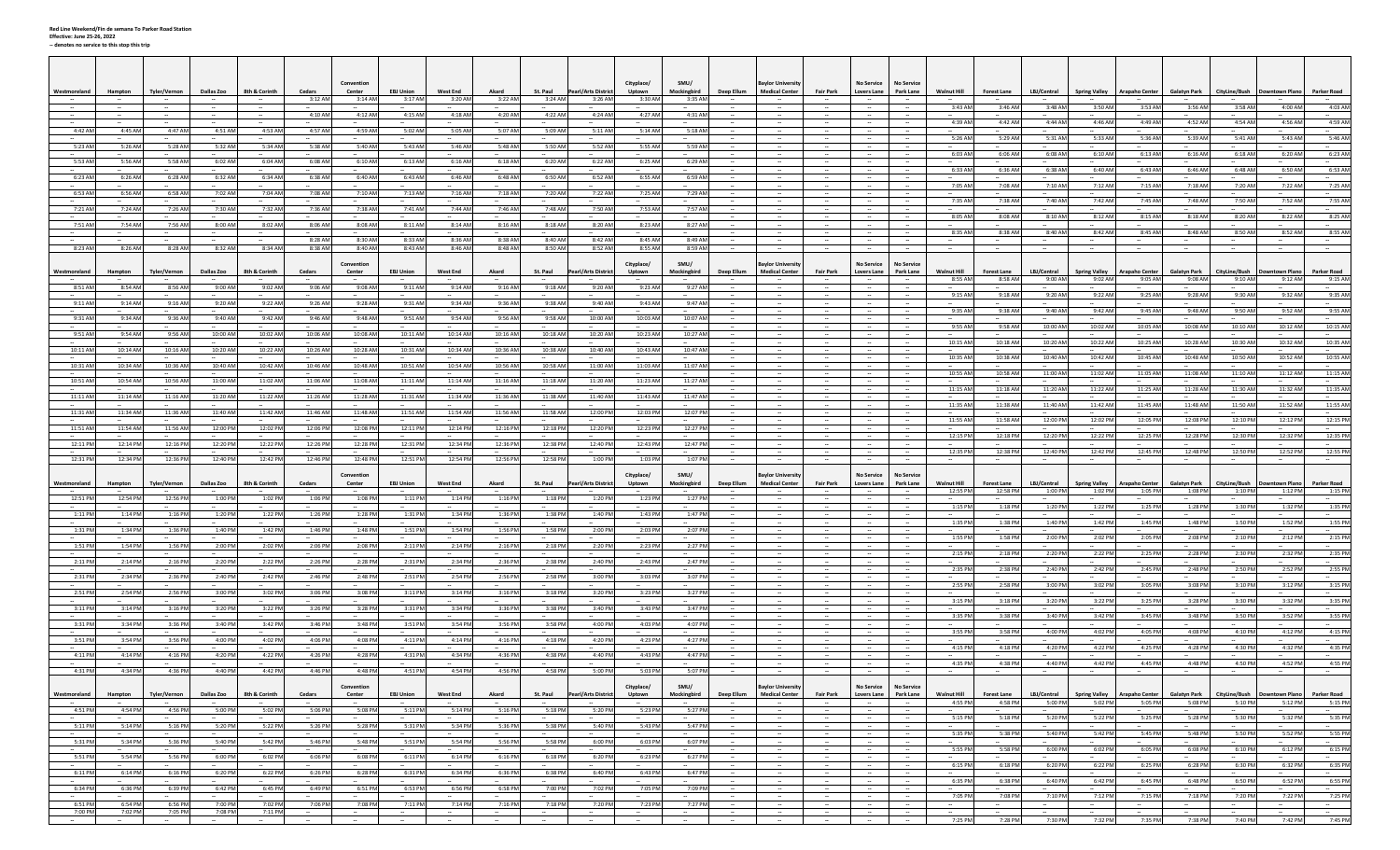|                         |                                     |                                          |                              |                                    |                    | Conventio                   |                                       |                                      |                                       |                                 |                                                            | Cityplace/         | SMU/                                                        |                                                      | <b>Bavlor Universit</b>                   |                            | <b>No Service</b>                   | <b>No Service</b>                        |                                      |                                         |                        |                                 |                                                                                   |                                |                          |                                  |                                     |
|-------------------------|-------------------------------------|------------------------------------------|------------------------------|------------------------------------|--------------------|-----------------------------|---------------------------------------|--------------------------------------|---------------------------------------|---------------------------------|------------------------------------------------------------|--------------------|-------------------------------------------------------------|------------------------------------------------------|-------------------------------------------|----------------------------|-------------------------------------|------------------------------------------|--------------------------------------|-----------------------------------------|------------------------|---------------------------------|-----------------------------------------------------------------------------------|--------------------------------|--------------------------|----------------------------------|-------------------------------------|
| Westmoreland            | Hampton                             | <b>Tyler/Vernon</b>                      | <b>Dallas Zoo</b>            | 8th & Corinth                      | Cedars<br>3:12 AM  | Center<br>$3:14$ AM         | <b>EBJ Union</b><br>3:17 AM           | <b>West End</b><br>3:20 AM           | Akard<br>3:22 AM                      | St. Paul<br>3:24 AM             | <b>Pearl/Arts District</b><br>3:26 AM                      | Uptown<br>3:30 AM  | Mockingbird<br>3:35 AM                                      | Deep Ellum                                           | <b>Medical Center</b>                     | <b>Fair Park</b>           | <b>Lovers Lane</b>                  | Park Lane                                | <b>Walnut Hill</b>                   | <b>Forest Lane</b>                      | LBJ/Central            | <b>Spring Valley</b>            | <b>Arapaho Center</b>                                                             | <b>Galatyn Park</b>            | CityLine/Bush            | <b>Downtown Plano</b>            | <b>Parker Road</b>                  |
| $\sim$                  | $\sim$                              | $\sim$                                   | $\sim$                       | $\sim$                             | 4:10 AM            | 4:12 AM                     | 4:15 AM                               | 4:18 AM                              | 4:20 AM                               | 4:22 AM                         | 4:24 AM                                                    | 4:27 AM            | 4:31 AM                                                     | $\overline{\phantom{a}}$                             |                                           |                            | $\sim$<br>$\sim$                    | $\sim$                                   | 3:43 AM                              | 3:46 AM                                 | 3:48 AM                | 3:50 AM                         | 3:53 AM                                                                           | 3:56 AM                        | 3:58 AM                  | 4:00 AM<br>$\sim$                | 4:03 AM<br>$\sim$                   |
| 4:42 AN                 | 4:45 AM                             | 4:47 Af                                  | 4:51 AM                      | 4:53 AN                            | $\sim$<br>4:57 AM  | 4:59 AM                     | 5:02 AM                               | 5:05 AM                              | 5:07 AM                               | 5:09 AM                         | 5:11 AM                                                    | 5:14 AM            | 5:18 AM                                                     | $\overline{\phantom{a}}$                             |                                           |                            | $\sim$                              | $\sim$                                   | 4:39 AM                              | 4:42 AM                                 | 4:44 AM                | 4:46 AM                         | 4:49 AM                                                                           | 4:52 AM                        | 4:54 AM                  | 4:56 AM                          | 4:59 AM                             |
| 5:23 AM                 | 5:26 AM                             | 5:28 AM                                  | 5:32 AM                      | 5:34 AM                            | 5:38 AM            | 5:40 AM                     | 5:43 AM                               | 5:46 AM                              | 5:48 AN                               | 5:50 AM                         | 5:52 AN                                                    | 5:55 AM            | 5:59 AM                                                     | $\overline{\phantom{a}}$                             | $\sim$                                    |                            | $\sim$                              | $\sim$                                   | 5:26 AM                              | 5:29 AM                                 | 5:31 AM                | 5:33 AM                         | 5:36 AM                                                                           | 5:39 AM                        | 5:41 AM                  | 5:43 AM                          | 5:46 AM<br>$\sim$                   |
| 5:53 AM                 | 5:56 AM                             | 5:58 AN                                  | 6:02 AM                      | 6:04 AM                            | 6:08 AM            | 6:10 AM                     | 6:13 AM                               | 6:16 AM                              | 6:18 AM                               | 6:20 AM                         | 6:22 AM                                                    | 6:25 AM            | 6:29 AM                                                     |                                                      |                                           |                            | $\sim$<br>$\sim$                    | $\sim$                                   | 6:03 AM                              | 6:06 AM                                 | 6:08 AM                | 6:10 AM                         | 6:13 AM                                                                           | 6:16 AM                        | 6:18 AM                  | 6:20 AM                          | 6:23 AM                             |
| 6:23 AM                 | 6:26 AM                             | 6:28 AM                                  | 6:32 AM                      | 6:34 AM                            | 6:38 AM            | 6:40 AM                     | 6:43 AM                               | 6:46 AM                              | 6:48 AN                               | 6:50 AM                         | 6:52 AM                                                    | 6:55 AM            | 6:59 AM                                                     | $\overline{\phantom{a}}$                             |                                           |                            | $\sim$<br>$\sim$                    | $\sim$<br>$\sim$                         | 6:33 AM                              | 6:36 AM                                 | 6:38 AM                | 6:40 AM                         | 6:43 AM                                                                           | 6:46 AM                        | 6:48 AM                  | 6:50 AM                          | 6:53 AM<br>$\sim$                   |
| 6:53 AN                 | 6:56 AM                             | 6:58 AM                                  | 7:02 AM                      | 7:04 AM                            | 7:08 AM            | 7:10 AM                     | 7:13 AN                               | 7:16 AM                              | $\sim$<br>7:18 AN                     | 7:20 AM                         | 7:22 AM                                                    | 7:25 AM            | 7:29 AM                                                     | $\sim$<br>                                           | $\sim$                                    | $\sim$                     | $\sim$                              | $\sim$                                   | 7:05 AM                              | 7:08 AM                                 | 7:10 AM                | 7:12 AM                         | 7:15 AM                                                                           | 7:18 AM                        | 7:20 AM                  | 7:22 AM                          | 7:25 AM                             |
| 7:21 AN                 | 7:24 AM                             | 7:26 AM                                  | 7:30 AM                      | 7:32 AM                            | 7:36 AM            | 7:38 AM                     | 7:41 AM                               | 7:44 AM                              | 7:46 AM                               | 7:48 AM                         | 7:50 AN                                                    | 7:53 AM            | 7:57 AM                                                     |                                                      |                                           |                            |                                     |                                          | 7:35 AM                              | 7:38 AM                                 | 7:40 AM                | 7:42 AM                         | 7:45 AM                                                                           | 7:48 AM                        | 7:50 AM                  | 7:52 AM                          | 7:55 AM                             |
| 7:51 AN                 | 7:54 AM                             | 7:56 AN                                  | 8:00 AM                      | 8:02 AM                            | 8:06 AM            | 8:08 AM                     | 8:11 AM                               | 8:14 AM                              | 8:16 AN                               | 8:18 AM                         | 8:20 AM                                                    | 8:23 AM            | 8:27 AM                                                     | $\sim$<br>$\sim$                                     | $\sim$                                    |                            | $\sim$<br>$\sim$                    | $\sim$<br>$\sim$                         | 8:05 AM                              | 8:08 AM                                 | 8:10 AM                | 8:12 AM                         | 8:15 AM                                                                           | 8:18 AM                        | 8:20 AM                  | 8:22 AM                          | 8:25 AM                             |
|                         |                                     |                                          |                              |                                    |                    |                             |                                       |                                      |                                       |                                 |                                                            |                    |                                                             |                                                      |                                           |                            |                                     | $\sim$                                   | 8:35 AM                              | 8:38 AM                                 | 8:40 AM                | 8:42 AM                         | 8:45 AM                                                                           | 8:48 AM                        | 8:50 AM                  | 8:52 AM                          | 8:55 AM                             |
| 8:23 AM                 | 8:26 AM                             | 8:28 AM                                  | 8:32 AM                      | 8:34 AM                            | 8:28 AM<br>8:38 AM | 8:30 AM<br>$8:40$ AM        | 8:33 AM<br>8:43 AM                    | 8:36 AM<br>$8:46$ AM                 | 8:38 AM<br>8:48 AM                    | 8:40 AM<br>8:50 AM              | 8:42 AM<br>8:52 AM                                         | 8:45 AM<br>8:55 AM | 8:49 AM<br>8:59 AM                                          | $\overline{\phantom{a}}$                             | $\sim$                                    | $\sim$                     | $\overline{\phantom{a}}$<br>$\sim$  | $\sim$<br>$\sim$                         | $\sim$                               |                                         | $\sim$                 |                                 |                                                                                   | $\sim$                         |                          | $\overline{\phantom{a}}$         | $\sim$<br>$\sim$                    |
|                         |                                     |                                          |                              |                                    |                    | Convention                  |                                       |                                      |                                       |                                 |                                                            | Cityplace/         | SMU/                                                        |                                                      | aylor Universit                           |                            | No Service                          | <b>No Service</b>                        |                                      |                                         |                        |                                 |                                                                                   |                                |                          |                                  |                                     |
| Vestmoreland            | Hampton                             | Tyler/Vernon                             | <b>Dallas Zoo</b>            | 8th & Corinth                      | Cedars             | Center<br>$\sim$            | <b>EBJ Union</b>                      | <b>West End</b><br>$\sim$            | Akard<br>$\sim$                       | St. Paul<br>$\sim$              | Pearl/Arts District                                        | Uptown             | Mockingbird                                                 | Deep Ellum                                           | <b>Medical Center</b>                     | <b>Fair Park</b>           | Lovers Lane<br>$\sim$               | Park Lane<br>$\sim$                      | <b>Walnut Hill</b><br>8:55 AM        | <b>Forest Lane</b><br>8:58 AM           | LBJ/Central<br>9:00 AM | <b>Spring Valley</b><br>9:02 AM | rapaho Center<br>9:05 AM                                                          | <b>Galatyn Park</b><br>9:08 AM | CityLine/Bush<br>9:10 AM | <b>Jowntown Plano</b><br>9:12 AM | Parker Road<br>9:15 AM              |
| 8:51 AM                 | 8:54 AM                             | 8:56 AM                                  | 9:00 AM                      | 9:02 AM                            | 9:06 AM            | 9:08 AM                     | 9:11 AM                               | 9:14 AM                              | 9:16 AM                               | 9:18 AM                         | 9:20 AM                                                    | 9:23 AM            | 9:27 AM                                                     | $\sim$                                               |                                           |                            | $\sim$<br>$\sim$                    | $\sim$<br>$\sim$                         | 9:15 AM                              | 9:18 AM                                 | 9:20 AM                | 9:22 AM                         | 9:25 AM                                                                           | 9:28 AM                        | 9:30 AM                  | 9:32 AM                          | 9:35 AM                             |
| 9:11 AM                 | 9:14 AM                             | 9:16 AM                                  | 9:20 AM                      | 9:22 AM                            | 9:26 AM            | 9:28 AM                     | 9:31 AM                               | 9:34 AM                              | 9:36 AM                               | 9:38 AM                         | 9:40 AM                                                    | 9:43 AM            | 9:47 AM                                                     | $\overline{\phantom{a}}$<br>$\sim$                   | $\sim$                                    | $\sim$                     | $\sim$<br>$\sim$                    | $\sim$<br>$\sim$                         | 9:35 AM                              | 9:38 AM                                 | 9:40 AM                | 9:42 AM                         | 9:45 AM                                                                           | 9:48 AM                        | 9:50 AM                  | 9:52 AM                          | $\sim$<br>9:55 AM                   |
| 9:31 AM                 | 9:34 AM                             | 9:36 AN                                  | 9:40 AM                      | 9:42 AM                            | 9:46 AM            | 9:48 AM                     | 9:51 AM                               | 9:54 AM                              | 9:56 AN                               | 9:58 AM                         | 10:00 AM                                                   | 10:03 AM           | 10:07 AM                                                    | $\overline{\phantom{a}}$                             |                                           |                            | $\sim$                              | $\sim$                                   | 9:55 AM                              | 9:58 AM                                 | 10:00 AM               | 10:02 AM                        | 10:05 AM                                                                          | 10:08 AM                       | 10:10 AM                 | 10:12 AM                         | <br>10:15 AM                        |
| 9:51 AN                 | 9:54 AM                             | 9:56 AM                                  | 10:00 AM                     | 10:02 AM                           | 10:06 AM           | 10:08 AM                    | 10:11 AM                              | 10:14 AM                             | 10:16 AM                              | 10:18 AM                        | 10:20 AM                                                   | 10:23 AM           | 10:27 AM                                                    | $\overline{\phantom{a}}$                             | $\sim$                                    |                            | $\sim$                              | $\overline{\phantom{a}}$                 | 10:15 AM                             | 10:18 AM                                | 10:20 AM               | 10:22 AM                        | 10:25 AM                                                                          | 10:28 AM                       | 10:30 AM                 | 10:32 AM                         | 10:35 AM                            |
| 10:11 AM                | 10:14 AM                            | 10:16 AN                                 | 10:20 AM                     | 10:22 AM                           | 10:26 AM           | 10:28 AM                    | 10:31 AM                              | 10:34 AM                             | 10:36 AM                              | 10:38 AM                        | 10:40 AM                                                   | 10:43 AM           | 10:47 AM                                                    | $\sim$                                               |                                           |                            | $\sim$<br>$\overline{\phantom{a}}$  | $\sim$<br>$\sim$                         | 10:35 AM                             | 10:38 AM                                | 10:40 AM               | 10:42 AM                        | 10:45 AM                                                                          | 10:48 AM                       | 10:50 AM                 | 10:52 AM                         | 10:55 AM                            |
| 10:31 AM                | 10:34 AM                            | 10:36 AM                                 | 10:40 AM                     | 10:42 AM<br>$\sim$                 | 10:46 AM<br>$\sim$ | 10:48 AM                    | 10:51 AM                              | 10:54 AM                             | 10:56 AM<br>$\sim$                    | 10:58 AM                        | 11:00 AM                                                   | 11:03 AM           | 11:07 AM<br>$\sim$                                          | $\overline{\phantom{a}}$                             |                                           |                            | $\sim$<br>$\sim$                    | $\sim$                                   | 10:55 AM                             | 10:58 AM                                | 11:00 AM               | 11:02 AM                        | 11:05 AM                                                                          | 11:08 AM                       | 11:10 AM                 | 11:12 AM                         | 11:15 AM                            |
| 10:51 AN                | 10:54 AM                            | 10:56 AM                                 | 11:00 AM                     | 11:02 AM                           | 11:06 AM           | 11:08 AM                    | 11:11 AM                              | 11:14 AM                             | 11:16 AN                              | 11:18 AM                        | 11:20 AM                                                   | 11:23 AM           | 11:27 AM                                                    | $\overline{\phantom{a}}$<br>$\overline{\phantom{a}}$ |                                           |                            | $\sim$<br>$\sim$                    | $\sim$<br>$\sim$                         | 11:15 AM                             | 11:18 AM                                | 11:20 AM               | $\sim$<br>11:22 AM              | 11:25 AM                                                                          | 11:28 AM                       | 11:30 AM                 | 11:32 AM                         | $\sim$<br>11:35 AM                  |
| 11:11 AM                | 11:14 AM                            | 11:16 AM                                 | 11:20 AM                     | 11:22 AM                           | 11:26 AM           | 11:28 AM                    | 11:31 AM                              | 11:34 AM                             | 11:36 AN                              | 11:38 AM                        | 11:40 AM                                                   | 11:43 AM           | 11:47 AM                                                    |                                                      |                                           |                            |                                     |                                          | 11:35 AM                             | 11:38 AM                                | 11:40 AM               | 11:42 AM                        | 11:45 AM                                                                          | 11:48 AM                       | 11:50 AM                 | 11:52 AM                         | <br>11:55 AM                        |
| 11:31 AM                | 11:34 AM                            | 11:36 AM                                 | 11:40 AM                     | 11:42 AM                           | 11:46 AM           | 11:48 AM                    | 11:51 AM                              | 11:54 AM                             | 11:56 AM                              | 11:58 AM                        | 12:00 PM                                                   | 12:03 PM           | 12:07 PM                                                    | $\sim$<br>۰.                                         |                                           |                            | $\sim$<br>$\sim$                    | $\overline{\phantom{a}}$                 | 11:55 AM                             | 11:58 AM                                | 12:00 PM               | 12:02 PM                        | 12:05 PM                                                                          | 12:08 PM                       | 12:10 PM                 | 12:12 PM                         | $\sim$<br>12:15 PM                  |
| 11:51 AM                | 11:54 AM                            | 11:56 AM                                 | 12:00 PM                     | 12:02 PM                           | 12:06 PM           | 12:08 PM                    | 12:11 PM                              | 12:14 PM                             | 12:16 PM                              | 12:18 PM                        | 12:20 PM                                                   | 12:23 PM           | 12:27 PM                                                    | $\overline{\phantom{a}}$                             |                                           |                            | $\overline{\phantom{a}}$            | $\sim$                                   | 12:15 PM                             | 12:18 PM                                | 12:20 PM               | 12:22 PM                        | 12:25 PM                                                                          | 12:28 PM                       | 12:30 PM                 | 12:32 PM                         | 12:35 PM                            |
| 12:11 PM                | 12:14 PM                            | 12:16 PM                                 | 12:20 PM                     | 12:22 PM                           | 12:26 PM           | 12:28 PM                    | 12:31 PM                              | 12:34 PM                             | 12:36 PN                              | 12:38 PM                        | 12:40 PM                                                   | 12:43 PM           | 12:47 PM                                                    | $\sim$                                               | $\sim$<br>$\sim$                          |                            | $\sim$<br>$\sim$                    | $\sim$<br>$\sim$                         | 12:35 PM                             | 12:38 PM                                | 12:40 PM               | $\sim$<br>12:42 PM              | 12:45 PM                                                                          | 12:48 PN                       | 12:50 PM                 | 12:52 PM                         | $\sim$<br>12:55 PM                  |
| 12:31 PM                | 12:34 PM                            | 12:36 PM                                 | 12:40 PM                     | 12:42 PM                           | 12:46 PM           | 12:48 PM                    | 12:51 PM                              | 12:54 PM                             | 12:56 PM                              | 12:58 PM                        | 1:00 PM                                                    | 1:03 PM            | 1:07 PM                                                     | $\sim$                                               |                                           | $\sim$                     |                                     | $\sim$                                   |                                      |                                         |                        |                                 |                                                                                   |                                |                          |                                  | $\sim$                              |
| Westmoreland            |                                     |                                          |                              |                                    |                    |                             |                                       |                                      |                                       |                                 |                                                            | Cityplace/         | SMU/                                                        |                                                      | avlor Universi                            |                            | No Service                          | <b>No Service</b>                        |                                      |                                         |                        |                                 |                                                                                   |                                |                          |                                  |                                     |
|                         |                                     |                                          |                              |                                    |                    | Convention                  |                                       |                                      |                                       |                                 |                                                            |                    |                                                             |                                                      |                                           |                            |                                     |                                          |                                      |                                         |                        |                                 |                                                                                   |                                |                          |                                  |                                     |
|                         | Hampton                             | <b>Tyler/Vernon</b>                      | Dallas Zoo                   | 8th & Corinth                      | Cedars             | Center                      | <b>EBJ Union</b>                      | <b>West End</b>                      | Akard                                 | St. Paul                        | <b>Pearl/Arts District</b>                                 | Uptown             | Mockingbird                                                 | Deep Ellum                                           | <b>Medical Cente</b>                      | <b>Fair Park</b>           | <b>Lovers Lane</b>                  | Park Lane                                | <b>Walnut Hill</b><br>12:55 PM       | <b>Forest Lane</b><br>12:58 PM          | LBJ/Central<br>1:00 PM | <b>Spring Valley</b><br>1:02 PM | <b>Irapaho Center</b><br>1:05 PM                                                  | <b>Galatyn Park</b><br>1:08 PM | CityLine/Bush<br>1:10 PM | owntown Plano<br>1:12 PM         | Parker Road<br>1:15 PM              |
| 12:51 PM                | 12:54 PM                            | 12:56 PM                                 | 1:00 PM                      | 1:02 PM                            | 1:06 PM<br>$\sim$  | 1:08 PM                     | 1:11 PM<br>$\sim$                     | 1:14 PM                              | 1:16 PM                               | 1:18 PM<br>                     | 1:20 PM                                                    | 1:23 PM            | 1:27 PM<br>$\sim$                                           | $\overline{\phantom{a}}$<br>$\overline{\phantom{a}}$ | $\sim$                                    | $\sim$                     | $\sim$<br>$\sim$                    | $\sim$<br>$\sim$                         | 1:15 PM                              | 1:18 PM                                 | 1:20 PM                | 1:22 PM                         | 1:25 PM                                                                           | 1:28 PM                        | 1:30 PM                  | 1:32 PM                          | $\sim$<br>1:35 PM                   |
| 1:11 PM                 | 1:14 PM                             | 1:16 PM                                  | 1:20 PM                      | 1:22 PM                            | 1:26 PM            | 1:28 PM                     | 1:31 PM                               | 1:34 PM                              | 1:36 PM                               | 1:38 PM                         | 1:40 PM                                                    | 1:43 PM            | 1:47 PM                                                     | $\sim$                                               |                                           |                            | $\sim$                              | $\sim$                                   | 1:35 PM                              | 1:38 PM                                 | 1:40 PM                | 1:42 PM                         | 1:45 PM                                                                           | 1:48 PM                        | 1:50 PM                  | 1:52 PM                          | <br>1:55 PM                         |
| 1:31 PM                 | 1:34 PM                             | 1:36 PM                                  | 1:40 PM                      | 1:42 PM                            | 1:46 PM            | 1:48 PM                     | 1:51 PM                               | 1:54 PM                              | 1:56 PM                               | 1:58 PM                         | 2:00 PM                                                    | 2:03 PM            | 2:07 PM                                                     | $\overline{\phantom{a}}$                             | $\sim$                                    |                            | $\sim$                              | $\sim$                                   | 1:55 PM                              | 1:58 PM                                 | 2:00 PM                | 2:02 PM                         | 2:05 PM                                                                           | 2:08 PM                        | 2:10 PM                  | 2:12 PM                          | 2:15 PM                             |
| 1:51 PM                 | 1:54 PM                             | 1:56 PM                                  | 2:00 PM                      | 2:02 PM                            | 2:06 PM            | 2:08 PM                     | 2:11 PM                               | 2:14 PM                              | 2:16 PM                               | 2:18 PM                         | 2:20 PM                                                    | 2:23 PM            | 2:27 PM                                                     | $\sim$                                               |                                           |                            | $\sim$<br>$\ddot{\phantom{a}}$      | $\sim$<br>$\sim$                         | 2:15 PM                              | 2:18 PM                                 | 2:20 PM                | 2:22 PM                         | 2:25 PM                                                                           | 2:28 PM                        | 2:30 PM                  | 2:32 PM                          | 2:35 PM                             |
| 2:11 PM                 | 2:14 PM                             | 2:16 PM                                  | 2:20 PM                      | 2:22 PM                            | 2:26 PM            | 2:28 PM                     | 2:31 PM                               | 2:34 PM                              | 2:36 PM                               | 2:38 PM                         | 2:40 PM                                                    | 2:43 PM            | 2:47 PM                                                     | $\overline{\phantom{a}}$<br>$\sim$                   |                                           |                            |                                     |                                          | 2:35 PM                              | 2:38 PM                                 | 2:40 PM                | 2:42 PM                         | 2:45 PM                                                                           | 2:48 PM                        | 2:50 PM                  | 2:52 PM                          | 2:55 PM                             |
| 2:31 PM                 | 2:34 PM                             | 2:36 PM                                  | 2:40 PM                      | 2:42 PM                            | 2:46 PM            | 2:48 PM                     | 2:51 PM                               | 2:54 PM                              | 2:56 PM                               | 2:58 PM                         | 3:00 PM                                                    | 3:03 PM            | 3:07 PM                                                     | $\sim$                                               |                                           | $\sim$                     | $\sim$                              | $\sim$                                   | 2:55 PM                              | 2:58 PM                                 | 3:00 PM                | 3:02 PM                         | 3:05 PM                                                                           | 3:08 PM                        | 3:10 PM                  | 3:12 PM                          | 3:15 PM                             |
| 2:51 PM                 | 2:54 PM                             | 2:56 PM                                  | 3:00 PM                      | 3:02 PM                            | 3:06 PM            | 3:08 PM                     | 3:11 PM                               | 3:14 PM                              | 3:16 PM                               | 3:18 PM                         | 3:20 PM                                                    | 3:23 PM            | 3:27 PM                                                     |                                                      |                                           |                            |                                     |                                          | 3:15 PM                              | 3:18 PM                                 | 3:20 PM                | 3:22 PM                         | 3:25 PM                                                                           | 3:28 PM                        | 3:30 PM                  | 3:32 PM                          | 3:35 PM                             |
| 3:11 PM                 | 3:14 PM                             | 3:16 PM                                  | 3:20 PM                      | 3:22 PM                            | 3:26 PM            | 3:28 PM                     | 3:31 PM                               | 3:34 PM                              | 3:36 PM                               | 3:38 PM                         | 3:40 PM                                                    | 3:43 PM            | 3:47 PM                                                     | $\overline{\phantom{a}}$<br>$\sim$                   |                                           |                            | $\sim$<br>$\sim$                    | $\sim$                                   | 3:35 PM                              | 3:38 PM                                 | 3:40 PM                | 3:42 PN                         | 3:45 PM                                                                           | 3:48 PN                        | 3:50 PM                  | 3:52 PM                          | 3:55 PM                             |
| 3:31 PM                 | 3:34 PM                             | 3:36 PM                                  | 3:40 PM                      | 3:42 PM                            | 3:46 PM            | 3:48 PM                     | 3:51 PM                               | 3:54 PM                              | 3:56 PM                               | 3:58 PM                         | 4:00 PM                                                    | 4:03 PM            | 4:07 PM                                                     | $\overline{\phantom{a}}$                             |                                           |                            | $\sim$                              | $\sim$                                   | 3:55 PM                              | 3:58 PM                                 | 4:00 PM                | 4:02 PM                         | 4:05 PM                                                                           | 4:08 PM                        | 4:10 PM                  | 4:12 PM                          | 4:15 PM                             |
| 3:51 PM                 | 3:54 PM                             | 3:56 PM                                  | 4:00 PM                      | 4:02 PM                            | 4:06 PM            | $4:08$ PM                   | 4:11 PM                               | 4:14 PM                              | 4:16 PM                               | 4:18 PM                         | 4:20 PM                                                    | 4:23 PM            | 4:27 PM                                                     | $\sim$<br>$\overline{\phantom{a}}$                   | $\sim$                                    | $\sim$                     | $\sim$<br>$\sim$                    | $\sim$<br>$\sim$                         | $\sim$<br>4:15 PM                    | $\overline{\phantom{a}}$<br>4:18 PM     | 4:20 PM                | $\sim$<br>4:22 PM               | 4:25 PM                                                                           | 4:28 PN                        | 4:30 PM                  | $\sim$<br>4:32 PM                | $\sim$<br>4:35 PM                   |
| 4:11 PM                 | 4:14 PM                             | 4:16 PM                                  | 4:20 PM                      | 4:22 PM                            | 4:26 PM            | 4:28 PM                     | 4:31 PM                               | 4:34 PM                              | 4:36 PM                               | 4:38 PM                         | 4:40 PM                                                    | 4:43 PM            | 4:47 PM                                                     |                                                      |                                           |                            |                                     |                                          | 4:35 PM                              | 4:38 PM                                 | 4:40 PM                | 4:42 PN                         | 4:45 PM                                                                           | 4:48 PM                        | 4:50 PM                  | 4:52 PM                          | 4:55 PM                             |
| 4:31 PM                 | 4:34 PM                             | 4:36 PM                                  | 4:40 PM                      | 4:42 PM                            | 4:46 PM            | 4:48 PM                     | 4:51 PM                               | 4:54 PM                              | 4:56 PN                               | 4:58 PM                         | 5:00 PM                                                    | 5:03 PM            | 5:07 PM                                                     | $\sim$                                               |                                           |                            | $\sim$                              |                                          |                                      |                                         |                        |                                 |                                                                                   |                                |                          |                                  |                                     |
|                         |                                     |                                          |                              |                                    | Cedars             | Convention                  |                                       |                                      |                                       |                                 |                                                            | Cityplace/         | SMU/                                                        |                                                      | <b>Baylor University</b>                  |                            | No Service<br>Fair Park Lovers Lane | <b>No Service</b>                        | <b>Walnut Hill</b>                   |                                         |                        |                                 |                                                                                   |                                |                          |                                  | <b>Parker Road</b>                  |
| Westmoreland<br>4:51 PM | Hampton<br>4:54 PM                  | <b>Tyler/Vernon</b><br>$\sim$<br>4:56 PM | <b>Dallas Zoo</b><br>5:00 PM | 8th & Corinth<br>$\sim$<br>5:02 PM | $\sim$<br>5:06 PM  | Center<br>$\sim$<br>5:08 PM | <b>EBJ Union</b><br>$\sim$<br>5:11 PM | <b>West End</b><br>$\sim$<br>5:14 PM | Akard<br>$\sim$ 100 $\sim$<br>5:16 PM | St. Paul<br>$\sim$<br>$5:18$ PM | <b>Pearl/Arts District</b><br>$\sim$ 100 $\sim$<br>5:20 PM | Uptown<br>5:23 PM  | Mockingbird<br><b>Contract Contract Contract</b><br>5:27 PM | Deep Ellum<br>$\sim$<br>$\sim$                       | <b>Medical Center</b><br>$\sim$<br>$\sim$ | $\sim$ 100 $\mu$<br>$\sim$ | <b>Contract Contract</b><br>$\sim$  | Park Lane<br>$\sim$ 100 $\sim$<br>$\sim$ | 4:55 PM                              | <b>Forest Lane</b><br>4:58 PM<br>$\sim$ | LBJ/Central<br>5:00 PM | 5:02 PM                         | Spring Valley Arapaho Center Galatyn Park CityLine/Bush Downtown Plano<br>5:05 PM | 5:08 PM                        | 5:10 PM                  | 5:12 PM                          | 5:15 PM<br>$\sim$                   |
|                         |                                     |                                          |                              |                                    |                    |                             |                                       |                                      |                                       |                                 |                                                            |                    |                                                             | $\sim$                                               | $\overline{\phantom{a}}$                  | $\overline{\phantom{a}}$   | $\sim$                              | $\sim$                                   | 5:15 PM                              | 5:18 PM                                 | 5:20 PM                | 5:22 PM                         | 5:25 PM                                                                           | 5:28 PM                        | 5:30 PM                  | 5:32 PM                          | 5:35 PM                             |
| 5:11 PM                 | 5:14 PM                             | 5:16 PM                                  | 5:20 PM                      | 5:22 PM                            | 5:26 PM            | 5:28 PM                     | 5:31 PM                               | 5:34 PM                              | 5:36 PM                               | 5:38 PM                         | 5:40 PM                                                    | 5:43 PM            | 5:47 PM                                                     | $\sim$<br>$\sim$                                     | $\sim$<br>$\sim$                          | $\sim$<br>$\sim$           | $\sim$<br>$\sim$                    | $\sim$<br>$\sim$                         | 5:35 PM                              | 5:38 PM                                 | 5:40 PM                | 5:42 PM                         | 5:45 PM                                                                           | 5:48 PM                        | 5:50 PM                  | 5:52 PM                          | 5:55 PM                             |
| 5:31 PM                 | 5:34 PM                             | 5:36 PM                                  | 5:40 PM                      | 5:42 PM                            | 5:46 PM            | 5:48 PM                     | 5:51 PM                               | 5:54 PM                              | 5:56 PM                               | 5:58 PM                         | 6:00 PM                                                    | 6:03 PM            | 6:07 PM                                                     | $\sim$                                               | $\sim$                                    | $\sim$                     | $\sim$                              | $\sim$                                   | 5:55 PM                              | 5:58 PM                                 | 6:00 PM                | 6:02 PM                         | 6:05 PM                                                                           | 6:08 PM                        | 6:10 PM                  | 6:12 PM                          | 6:15 PM                             |
| 5:51 PM                 | 5:54 PM                             | 5:56 PM                                  | 6:00 PM                      | 6:02 PM<br>$\sim$                  | 6:06 PM            | 6:08 PM                     | 6:11 PM<br>$\sim$                     | 6:14 PM                              | 6:16 PM                               | 6:18 PM                         | 6:20 PM                                                    | 6:23 PM            | 6:27 PM                                                     | $\sim$<br>$\sim$                                     | $\sim$<br>$\sim$                          | $\sim$<br>$\sim$           | $\sim$<br>$\sim$                    | $\sim$<br>$\sim$                         | 6:15 PM                              | 6:18 PM                                 | 6:20 PM                | 6:22 PM                         | 6:25 PM                                                                           | 6:28 PM                        | 6:30 PM                  | 6:32 PM                          | $\sim$<br>6:35 PM                   |
| 6:11 PM                 | 6:14 PM<br>$\overline{\phantom{a}}$ | 6:16 PM                                  | 6:20 PM                      | 6:22 PM<br>$\sim$                  | 6:26 PM<br>$\sim$  | 6:28 PM                     | 6:31 PM<br>$\sim$                     | 6:34 PM                              | 6:36 PM<br>$\sim$                     | 6:38 PM<br>                     | 6:40 PM<br>$\sim$                                          | 6:43 PM<br>$\sim$  | 6:47 PM<br>$\sim$                                           | $\sim$<br>$\sim$                                     | $\sim$<br>$\sim$                          | $\sim$<br>$\sim$           | $\sim$<br>$\sim$                    | $\sim$<br>$\sim$                         | 6:35 PM                              | 6:38 PM                                 | 6:40 PM                | 6:42 PM                         | 6:45 PM                                                                           | 6:48 PM                        | 6:50 PM                  | 6:52 PM                          | $\sim$<br>6:55 PM                   |
| 6:34 PM<br>6:51 PM      | 6:36 PM<br>6:54 PM                  | 6:39 PM<br>6:56 PM                       | 6:42 PM<br>7:00 PM           | 6:45 PM<br>7:02 PM                 | 6:49 PM<br>7:06 PM | 6:51 PM<br>7:08 PM          | 6:53 PM<br>7:11 PM                    | 6:56 PM<br>7:14 PM                   | 6:58 PM<br>7:16 PM                    | 7:00 PM<br>7:18 PM              | 7:02 PM<br>7:20 PM                                         | 7:05 PM<br>7:23 PM | 7:09 PM<br>7:27 PM                                          | $\sim$<br>$\sim$                                     | $\sim$<br>$\sim$                          | $\sim$<br>$\sim$           | $\sim$<br>$\sim$<br>$\sim$          | $\sim$<br>$\sim$                         | $\sim$<br>7:05 PM<br>$\sim 10^{-10}$ | $\sim$<br>7:08 PM                       | 7:10 PM                | $\sim$<br>7:12 PM<br>$\sim$     | <br>7:15 PM<br>$\overline{\phantom{a}}$                                           | 7:18 PM                        | 7:20 PM<br>$\sim$        | $\sim$<br>7:22 PM<br>$\sim$      | $\sim$<br>7:25 PM<br>$\mathbb{Z}^+$ |